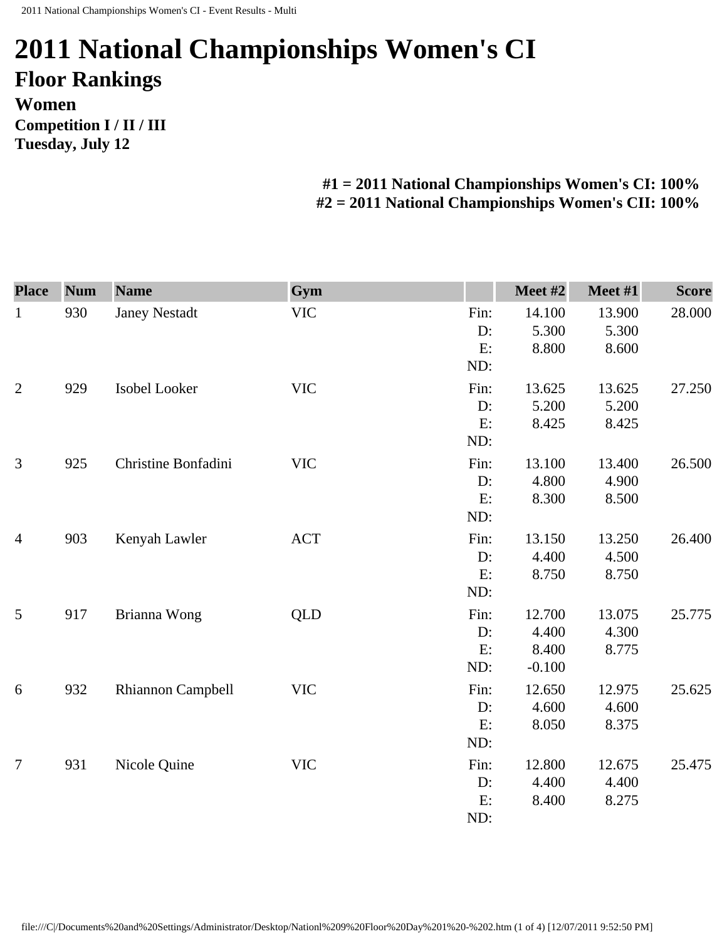## **2011 National Championships Women's CI Floor Rankings Women Competition I / II / III Tuesday, July 12**

## **#1 = 2011 National Championships Women's CI: 100% #2 = 2011 National Championships Women's CII: 100%**

| <b>Place</b>   | <b>Num</b> | <b>Name</b>          | Gym        |      | Meet #2  | Meet #1 | <b>Score</b> |
|----------------|------------|----------------------|------------|------|----------|---------|--------------|
| $\mathbf{1}$   | 930        | <b>Janey Nestadt</b> | <b>VIC</b> | Fin: | 14.100   | 13.900  | 28.000       |
|                |            |                      |            | D:   | 5.300    | 5.300   |              |
|                |            |                      |            | E:   | 8.800    | 8.600   |              |
|                |            |                      |            | ND:  |          |         |              |
| $\overline{2}$ | 929        | Isobel Looker        | <b>VIC</b> | Fin: | 13.625   | 13.625  | 27.250       |
|                |            |                      |            | D:   | 5.200    | 5.200   |              |
|                |            |                      |            | E:   | 8.425    | 8.425   |              |
|                |            |                      |            | ND:  |          |         |              |
| 3              | 925        | Christine Bonfadini  | <b>VIC</b> | Fin: | 13.100   | 13.400  | 26.500       |
|                |            |                      |            | D:   | 4.800    | 4.900   |              |
|                |            |                      |            | E:   | 8.300    | 8.500   |              |
|                |            |                      |            | ND:  |          |         |              |
| $\overline{4}$ | 903        | Kenyah Lawler        | <b>ACT</b> | Fin: | 13.150   | 13.250  | 26.400       |
|                |            |                      |            | D:   | 4.400    | 4.500   |              |
|                |            |                      |            | E:   | 8.750    | 8.750   |              |
|                |            |                      |            | ND:  |          |         |              |
| 5              | 917        | Brianna Wong         | <b>QLD</b> | Fin: | 12.700   | 13.075  | 25.775       |
|                |            |                      |            | D:   | 4.400    | 4.300   |              |
|                |            |                      |            | E:   | 8.400    | 8.775   |              |
|                |            |                      |            | ND:  | $-0.100$ |         |              |
| 6              | 932        | Rhiannon Campbell    | <b>VIC</b> | Fin: | 12.650   | 12.975  | 25.625       |
|                |            |                      |            | D:   | 4.600    | 4.600   |              |
|                |            |                      |            | E:   | 8.050    | 8.375   |              |
|                |            |                      |            | ND:  |          |         |              |
| $\overline{7}$ | 931        | Nicole Quine         | <b>VIC</b> | Fin: | 12.800   | 12.675  | 25.475       |
|                |            |                      |            | D:   | 4.400    | 4.400   |              |
|                |            |                      |            | E:   | 8.400    | 8.275   |              |
|                |            |                      |            | ND:  |          |         |              |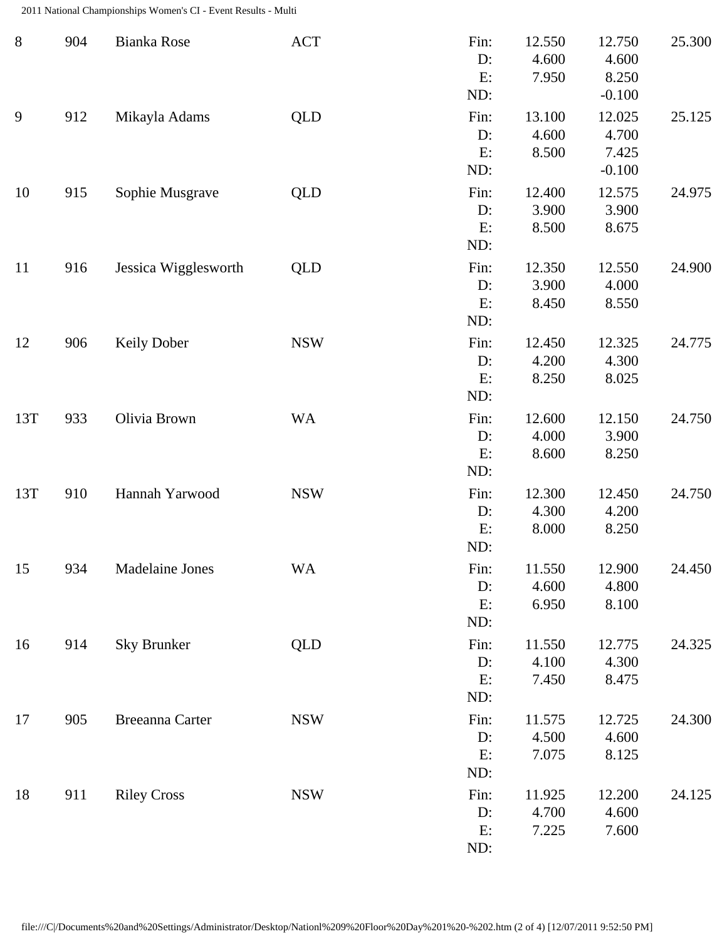2011 National Championships Women's CI - Event Results - Multi

| $8\,$ | 904 | Bianka Rose          | <b>ACT</b> | Fin:<br>D:<br>E:<br>ND:    | 12.550<br>4.600<br>7.950 | 12.750<br>4.600<br>8.250<br>$-0.100$ | 25.300 |
|-------|-----|----------------------|------------|----------------------------|--------------------------|--------------------------------------|--------|
| 9     | 912 | Mikayla Adams        | <b>QLD</b> | Fin:<br>$D$ :<br>E:<br>ND: | 13.100<br>4.600<br>8.500 | 12.025<br>4.700<br>7.425<br>$-0.100$ | 25.125 |
| 10    | 915 | Sophie Musgrave      | <b>QLD</b> | Fin:<br>D:<br>E:<br>ND:    | 12.400<br>3.900<br>8.500 | 12.575<br>3.900<br>8.675             | 24.975 |
| 11    | 916 | Jessica Wigglesworth | <b>QLD</b> | Fin:<br>$D$ :<br>E:<br>ND: | 12.350<br>3.900<br>8.450 | 12.550<br>4.000<br>8.550             | 24.900 |
| 12    | 906 | <b>Keily Dober</b>   | <b>NSW</b> | Fin:<br>$D$ :<br>E:<br>ND: | 12.450<br>4.200<br>8.250 | 12.325<br>4.300<br>8.025             | 24.775 |
| 13T   | 933 | Olivia Brown         | <b>WA</b>  | Fin:<br>D:<br>E:<br>ND:    | 12.600<br>4.000<br>8.600 | 12.150<br>3.900<br>8.250             | 24.750 |
| 13T   | 910 | Hannah Yarwood       | <b>NSW</b> | Fin:<br>D:<br>E:<br>ND:    | 12.300<br>4.300<br>8.000 | 12.450<br>4.200<br>8.250             | 24.750 |
| 15    | 934 | Madelaine Jones      | <b>WA</b>  | Fin:<br>D:<br>E:<br>ND:    | 11.550<br>4.600<br>6.950 | 12.900<br>4.800<br>8.100             | 24.450 |
| 16    | 914 | Sky Brunker          | <b>QLD</b> | Fin:<br>$D$ :<br>E:<br>ND: | 11.550<br>4.100<br>7.450 | 12.775<br>4.300<br>8.475             | 24.325 |
| 17    | 905 | Breeanna Carter      | <b>NSW</b> | Fin:<br>$D$ :<br>E:<br>ND: | 11.575<br>4.500<br>7.075 | 12.725<br>4.600<br>8.125             | 24.300 |
| 18    | 911 | <b>Riley Cross</b>   | <b>NSW</b> | Fin:<br>$D$ :<br>E:<br>ND: | 11.925<br>4.700<br>7.225 | 12.200<br>4.600<br>7.600             | 24.125 |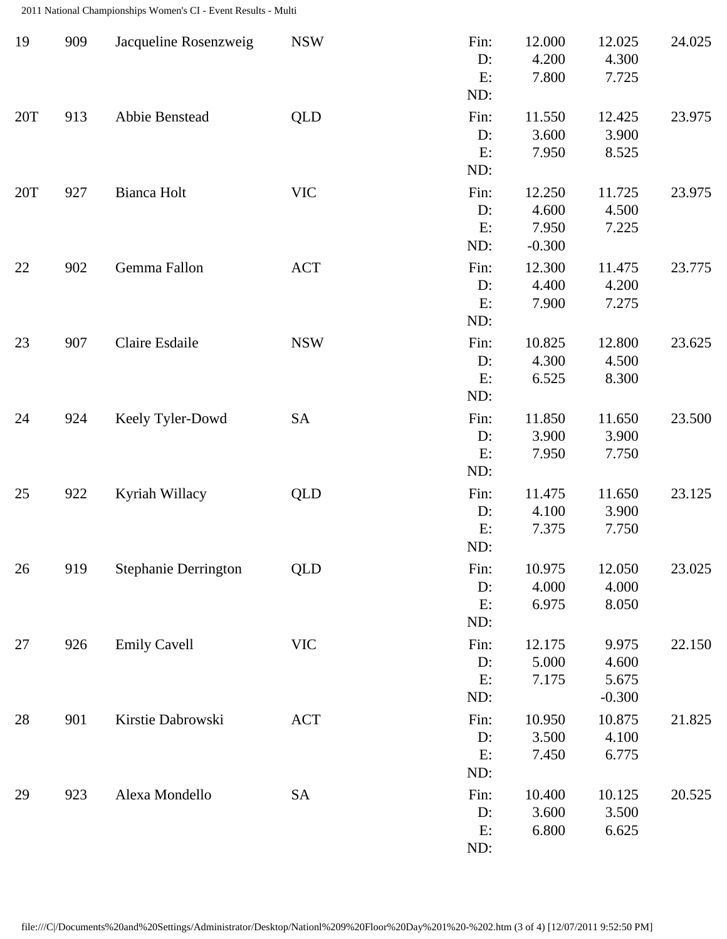2011 National Championships Women's CI - Event Results - Multi

| 19  | 909 | Jacqueline Rosenzweig       | <b>NSW</b> | Fin:<br>D:<br>E:<br>ND:    | 12.000<br>4.200<br>7.800             | 12.025<br>4.300<br>7.725            | 24.025 |
|-----|-----|-----------------------------|------------|----------------------------|--------------------------------------|-------------------------------------|--------|
| 20T | 913 | Abbie Benstead              | <b>QLD</b> | Fin:<br>D:<br>E:<br>ND:    | 11.550<br>3.600<br>7.950             | 12.425<br>3.900<br>8.525            | 23.975 |
| 20T | 927 | Bianca Holt                 | <b>VIC</b> | Fin:<br>D:<br>E:<br>ND:    | 12.250<br>4.600<br>7.950<br>$-0.300$ | 11.725<br>4.500<br>7.225            | 23.975 |
| 22  | 902 | Gemma Fallon                | <b>ACT</b> | Fin:<br>$D$ :<br>E:<br>ND: | 12.300<br>4.400<br>7.900             | 11.475<br>4.200<br>7.275            | 23.775 |
| 23  | 907 | Claire Esdaile              | <b>NSW</b> | Fin:<br>D:<br>E:<br>ND:    | 10.825<br>4.300<br>6.525             | 12.800<br>4.500<br>8.300            | 23.625 |
| 24  | 924 | Keely Tyler-Dowd            | SA         | Fin:<br>D:<br>E:<br>ND:    | 11.850<br>3.900<br>7.950             | 11.650<br>3.900<br>7.750            | 23.500 |
| 25  | 922 | Kyriah Willacy              | <b>QLD</b> | Fin:<br>D:<br>E:<br>ND:    | 11.475<br>4.100<br>7.375             | 11.650<br>3.900<br>7.750            | 23.125 |
| 26  | 919 | <b>Stephanie Derrington</b> | <b>QLD</b> | Fin:<br>D:<br>E:<br>ND:    | 10.975<br>4.000<br>6.975             | 12.050<br>4.000<br>8.050            | 23.025 |
| 27  | 926 | <b>Emily Cavell</b>         | <b>VIC</b> | Fin:<br>D:<br>E:<br>ND:    | 12.175<br>5.000<br>7.175             | 9.975<br>4.600<br>5.675<br>$-0.300$ | 22.150 |
| 28  | 901 | Kirstie Dabrowski           | <b>ACT</b> | Fin:<br>D:<br>E:<br>ND:    | 10.950<br>3.500<br>7.450             | 10.875<br>4.100<br>6.775            | 21.825 |
| 29  | 923 | Alexa Mondello              | SA         | Fin:<br>D:<br>E:<br>ND:    | 10.400<br>3.600<br>6.800             | 10.125<br>3.500<br>6.625            | 20.525 |